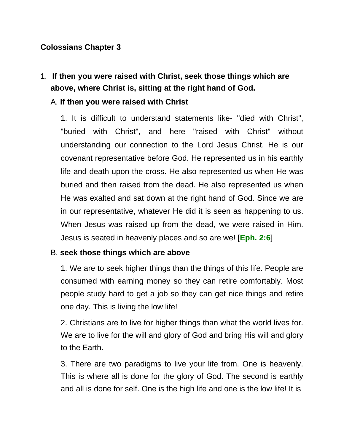#### **Colossians Chapter 3**

## 1. **If then you were raised with Christ, seek those things which are above, where Christ is, sitting at the right hand of God.**

#### A. **If then you were raised with Christ**

1. It is difficult to understand statements like- "died with Christ", "buried with Christ", and here "raised with Christ" without understanding our connection to the Lord Jesus Christ. He is our covenant representative before God. He represented us in his earthly life and death upon the cross. He also represented us when He was buried and then raised from the dead. He also represented us when He was exalted and sat down at the right hand of God. Since we are in our representative, whatever He did it is seen as happening to us. When Jesus was raised up from the dead, we were raised in Him. Jesus is seated in heavenly places and so are we! [**Eph. 2:6**]

#### B. **seek those things which are above**

1. We are to seek higher things than the things of this life. People are consumed with earning money so they can retire comfortably. Most people study hard to get a job so they can get nice things and retire one day. This is living the low life!

2. Christians are to live for higher things than what the world lives for. We are to live for the will and glory of God and bring His will and glory to the Earth.

3. There are two paradigms to live your life from. One is heavenly. This is where all is done for the glory of God. The second is earthly and all is done for self. One is the high life and one is the low life! It is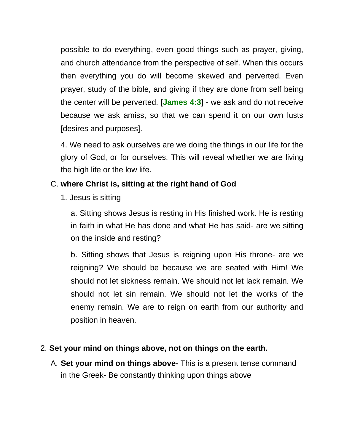possible to do everything, even good things such as prayer, giving, and church attendance from the perspective of self. When this occurs then everything you do will become skewed and perverted. Even prayer, study of the bible, and giving if they are done from self being the center will be perverted. [**James 4:3**] - we ask and do not receive because we ask amiss, so that we can spend it on our own lusts [desires and purposes].

4. We need to ask ourselves are we doing the things in our life for the glory of God, or for ourselves. This will reveal whether we are living the high life or the low life.

### C. **where Christ is, sitting at the right hand of God**

1. Jesus is sitting

a. Sitting shows Jesus is resting in His finished work. He is resting in faith in what He has done and what He has said- are we sitting on the inside and resting?

b. Sitting shows that Jesus is reigning upon His throne- are we reigning? We should be because we are seated with Him! We should not let sickness remain. We should not let lack remain. We should not let sin remain. We should not let the works of the enemy remain. We are to reign on earth from our authority and position in heaven.

#### 2. **Set your mind on things above, not on things on the earth.**

A. **Set your mind on things above-** This is a present tense command in the Greek- Be constantly thinking upon things above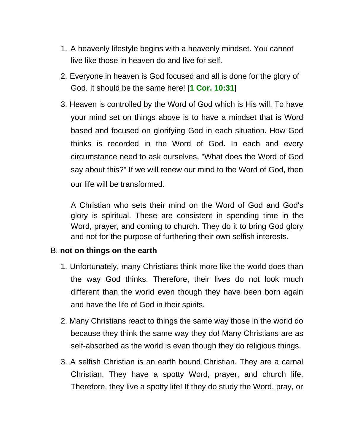- 1. A heavenly lifestyle begins with a heavenly mindset. You cannot live like those in heaven do and live for self.
- 2. Everyone in heaven is God focused and all is done for the glory of God. It should be the same here! [**1 Cor. 10:31**]
- 3. Heaven is controlled by the Word of God which is His will. To have your mind set on things above is to have a mindset that is Word based and focused on glorifying God in each situation. How God thinks is recorded in the Word of God. In each and every circumstance need to ask ourselves, "What does the Word of God say about this?" If we will renew our mind to the Word of God, then our life will be transformed.

A Christian who sets their mind on the Word of God and God's glory is spiritual. These are consistent in spending time in the Word, prayer, and coming to church. They do it to bring God glory and not for the purpose of furthering their own selfish interests.

### B. **not on things on the earth**

- 1. Unfortunately, many Christians think more like the world does than the way God thinks. Therefore, their lives do not look much different than the world even though they have been born again and have the life of God in their spirits.
- 2. Many Christians react to things the same way those in the world do because they think the same way they do! Many Christians are as self-absorbed as the world is even though they do religious things.
- 3. A selfish Christian is an earth bound Christian. They are a carnal Christian. They have a spotty Word, prayer, and church life. Therefore, they live a spotty life! If they do study the Word, pray, or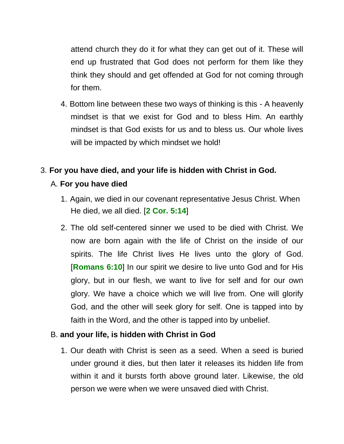attend church they do it for what they can get out of it. These will end up frustrated that God does not perform for them like they think they should and get offended at God for not coming through for them.

4. Bottom line between these two ways of thinking is this - A heavenly mindset is that we exist for God and to bless Him. An earthly mindset is that God exists for us and to bless us. Our whole lives will be impacted by which mindset we hold!

### 3. **For you have died, and your life is hidden with Christ in God.**

### A. **For you have died**

- 1. Again, we died in our covenant representative Jesus Christ. When He died, we all died. [**2 Cor. 5:14**]
- 2. The old self-centered sinner we used to be died with Christ. We now are born again with the life of Christ on the inside of our spirits. The life Christ lives He lives unto the glory of God. [**Romans 6:10**] In our spirit we desire to live unto God and for His glory, but in our flesh, we want to live for self and for our own glory. We have a choice which we will live from. One will glorify God, and the other will seek glory for self. One is tapped into by faith in the Word, and the other is tapped into by unbelief.

#### B. **and your life, is hidden with Christ in God**

1. Our death with Christ is seen as a seed. When a seed is buried under ground it dies, but then later it releases its hidden life from within it and it bursts forth above ground later. Likewise, the old person we were when we were unsaved died with Christ.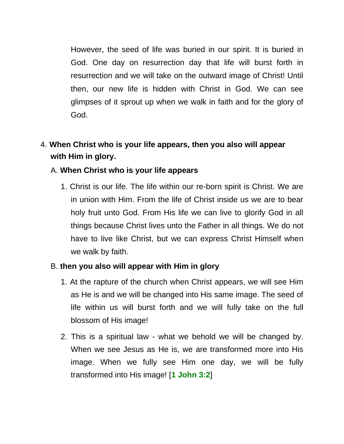However, the seed of life was buried in our spirit. It is buried in God. One day on resurrection day that life will burst forth in resurrection and we will take on the outward image of Christ! Until then, our new life is hidden with Christ in God. We can see glimpses of it sprout up when we walk in faith and for the glory of God.

# 4. **When Christ who is your life appears, then you also will appear with Him in glory.**

### A. **When Christ who is your life appears**

1. Christ is our life. The life within our re-born spirit is Christ. We are in union with Him. From the life of Christ inside us we are to bear holy fruit unto God. From His life we can live to glorify God in all things because Christ lives unto the Father in all things. We do not have to live like Christ, but we can express Christ Himself when we walk by faith.

#### B. **then you also will appear with Him in glory**

- 1. At the rapture of the church when Christ appears, we will see Him as He is and we will be changed into His same image. The seed of life within us will burst forth and we will fully take on the full blossom of His image!
- 2. This is a spiritual law what we behold we will be changed by. When we see Jesus as He is, we are transformed more into His image. When we fully see Him one day, we will be fully transformed into His image! [**1 John 3:2**]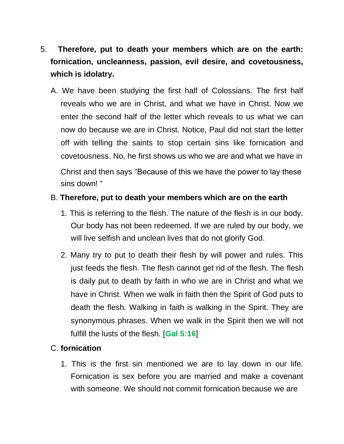- 5. **Therefore, put to death your members which are on the earth: fornication, uncleanness, passion, evil desire, and covetousness, which is idolatry.**
	- A. We have been studying the first half of Colossians. The first half reveals who we are in Christ, and what we have in Christ. Now we enter the second half of the letter which reveals to us what we can now do because we are in Christ. Notice, Paul did not start the letter off with telling the saints to stop certain sins like fornication and covetousness. No, he first shows us who we are and what we have in Christ and then says "Because of this we have the power to lay these sins down! "

#### B. **Therefore, put to death your members which are on the earth**

- 1. This is referring to the flesh. The nature of the flesh is in our body. Our body has not been redeemed. If we are ruled by our body, we will live selfish and unclean lives that do not glorify God.
- 2. Many try to put to death their flesh by will power and rules. This just feeds the flesh. The flesh cannot get rid of the flesh. The flesh is daily put to death by faith in who we are in Christ and what we have in Christ. When we walk in faith then the Spirit of God puts to death the flesh. Walking in faith is walking in the Spirit. They are synonymous phrases. When we walk in the Spirit then we will not fulfill the lusts of the flesh. [**Gal 5:16**]

### C. **fornication**

1. This is the first sin mentioned we are to lay down in our life. Fornication is sex before you are married and make a covenant with someone. We should not commit fornication because we are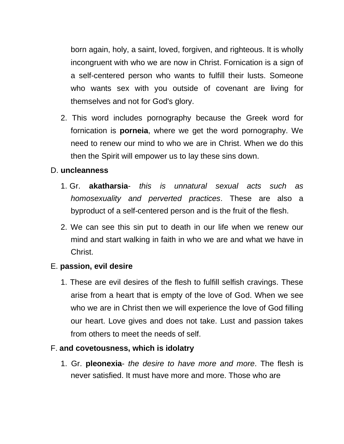born again, holy, a saint, loved, forgiven, and righteous. It is wholly incongruent with who we are now in Christ. Fornication is a sign of a self-centered person who wants to fulfill their lusts. Someone who wants sex with you outside of covenant are living for themselves and not for God's glory.

2. This word includes pornography because the Greek word for fornication is **porneia**, where we get the word pornography. We need to renew our mind to who we are in Christ. When we do this then the Spirit will empower us to lay these sins down.

#### D. **uncleanness**

- 1. Gr. **akatharsia** *this is unnatural sexual acts such as homosexuality and perverted practices*. These are also a byproduct of a self*-*centered person and is the fruit of the flesh.
- 2. We can see this sin put to death in our life when we renew our mind and start walking in faith in who we are and what we have in Christ.

### E. **passion, evil desire**

1. These are evil desires of the flesh to fulfill selfish cravings. These arise from a heart that is empty of the love of God. When we see who we are in Christ then we will experience the love of God filling our heart. Love gives and does not take. Lust and passion takes from others to meet the needs of self.

### F. **and covetousness, which is idolatry**

1. Gr. **pleonexia**- *the desire to have more and more*. The flesh is never satisfied. It must have more and more. Those who are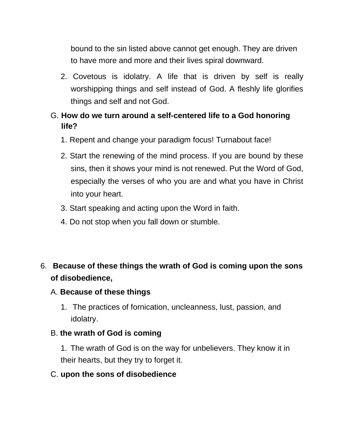bound to the sin listed above cannot get enough. They are driven to have more and more and their lives spiral downward.

2. Covetous is idolatry. A life that is driven by self is really worshipping things and self instead of God. A fleshly life glorifies things and self and not God.

## G. **How do we turn around a self-centered life to a God honoring life?**

- 1. Repent and change your paradigm focus! Turnabout face!
- 2. Start the renewing of the mind process. If you are bound by these sins, then it shows your mind is not renewed. Put the Word of God, especially the verses of who you are and what you have in Christ into your heart.
- 3. Start speaking and acting upon the Word in faith.
- 4. Do not stop when you fall down or stumble.

## 6. **Because of these things the wrath of God is coming upon the sons of disobedience,**

### A. **Because of these things**

1. The practices of fornication, uncleanness, lust, passion, and idolatry.

### B. **the wrath of God is coming**

1. The wrath of God is on the way for unbelievers. They know it in their hearts, but they try to forget it.

#### C. **upon the sons of disobedience**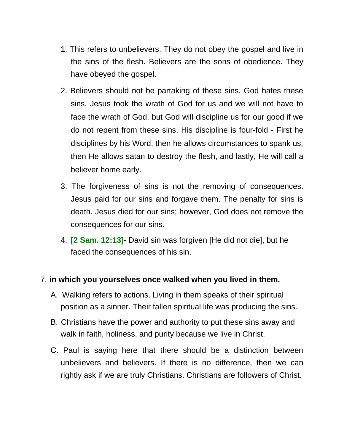- 1. This refers to unbelievers. They do not obey the gospel and live in the sins of the flesh. Believers are the sons of obedience. They have obeyed the gospel.
- 2. Believers should not be partaking of these sins. God hates these sins. Jesus took the wrath of God for us and we will not have to face the wrath of God, but God will discipline us for our good if we do not repent from these sins. His discipline is four-fold - First he disciplines by his Word, then he allows circumstances to spank us, then He allows satan to destroy the flesh, and lastly, He will call a believer home early.
- 3. The forgiveness of sins is not the removing of consequences. Jesus paid for our sins and forgave them. The penalty for sins is death. Jesus died for our sins; however, God does not remove the consequences for our sins.
- 4. **[2 Sam. 12:13]** David sin was forgiven [He did not die], but he faced the consequences of his sin.

#### 7. **in which you yourselves once walked when you lived in them.**

- A. Walking refers to actions. Living in them speaks of their spiritual position as a sinner. Their fallen spiritual life was producing the sins.
- B. Christians have the power and authority to put these sins away and walk in faith, holiness, and purity because we live in Christ.
- C. Paul is saying here that there should be a distinction between unbelievers and believers. If there is no difference, then we can rightly ask if we are truly Christians. Christians are followers of Christ.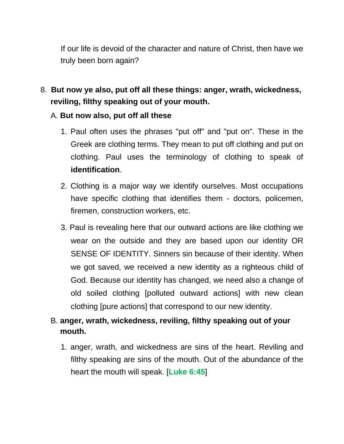If our life is devoid of the character and nature of Christ, then have we truly been born again?

8. **But now ye also, put off all these things: anger, wrath, wickedness, reviling, filthy speaking out of your mouth.**

#### A. **But now also, put off all these**

- 1. Paul often uses the phrases "put off" and "put on". These in the Greek are clothing terms. They mean to put off clothing and put on clothing. Paul uses the terminology of clothing to speak of **identification**.
- 2. Clothing is a major way we identify ourselves. Most occupations have specific clothing that identifies them - doctors, policemen, firemen, construction workers, etc.
- 3. Paul is revealing here that our outward actions are like clothing we wear on the outside and they are based upon our identity OR SENSE OF IDENTITY. Sinners sin because of their identity. When we got saved, we received a new identity as a righteous child of God. Because our identity has changed, we need also a change of old soiled clothing [polluted outward actions] with new clean clothing [pure actions] that correspond to our new identity.

## B. **anger, wrath, wickedness, reviling, filthy speaking out of your mouth.**

1. anger, wrath, and wickedness are sins of the heart. Reviling and filthy speaking are sins of the mouth. Out of the abundance of the heart the mouth will speak. [**Luke 6:45**]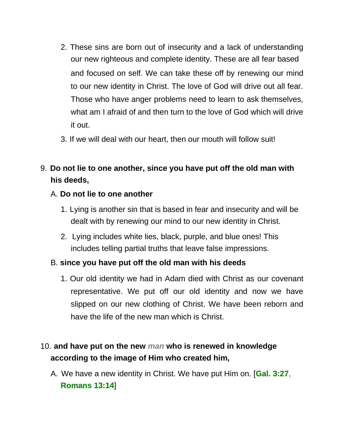- 2. These sins are born out of insecurity and a lack of understanding our new righteous and complete identity. These are all fear based and focused on self. We can take these off by renewing our mind to our new identity in Christ. The love of God will drive out all fear. Those who have anger problems need to learn to ask themselves, what am I afraid of and then turn to the love of God which will drive it out.
- 3. If we will deal with our heart, then our mouth will follow suit!
- 9. **Do not lie to one another, since you have put off the old man with his deeds,**

### A. **Do not lie to one another**

- 1. Lying is another sin that is based in fear and insecurity and will be dealt with by renewing our mind to our new identity in Christ.
- 2. Lying includes white lies, black, purple, and blue ones! This includes telling partial truths that leave false impressions.

### B. **since you have put off the old man with his deeds**

1. Our old identity we had in Adam died with Christ as our covenant representative. We put off our old identity and now we have slipped on our new clothing of Christ. We have been reborn and have the life of the new man which is Christ.

# 10. **and have put on the new** *man* **who is renewed in knowledge according to the image of Him who created him,**

A. We have a new identity in Christ. We have put Him on. [**Gal. 3:27**, **Romans 13:14**]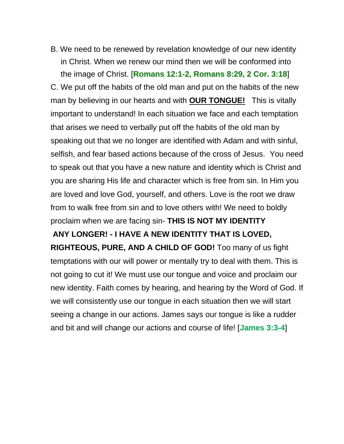B. We need to be renewed by revelation knowledge of our new identity in Christ. When we renew our mind then we will be conformed into the image of Christ. [**Romans 12:1-2, Romans 8:29, 2 Cor. 3:18**]

C. We put off the habits of the old man and put on the habits of the new man by believing in our hearts and with **OUR TONGUE!** This is vitally important to understand! In each situation we face and each temptation that arises we need to verbally put off the habits of the old man by speaking out that we no longer are identified with Adam and with sinful, selfish, and fear based actions because of the cross of Jesus. You need to speak out that you have a new nature and identity which is Christ and you are sharing His life and character which is free from sin. In Him you are loved and love God, yourself, and others. Love is the root we draw from to walk free from sin and to love others with! We need to boldly proclaim when we are facing sin- **THIS IS NOT MY IDENTITY**

**ANY LONGER! - I HAVE A NEW IDENTITY THAT IS LOVED, RIGHTEOUS, PURE, AND A CHILD OF GOD!** Too many of us fight temptations with our will power or mentally try to deal with them. This is not going to cut it! We must use our tongue and voice and proclaim our new identity. Faith comes by hearing, and hearing by the Word of God. If we will consistently use our tongue in each situation then we will start seeing a change in our actions. James says our tongue is like a rudder and bit and will change our actions and course of life! [**James 3:3-4**]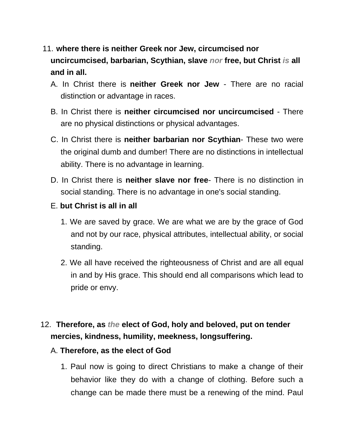# 11. **where there is neither Greek nor Jew, circumcised nor uncircumcised, barbarian, Scythian, slave** *nor* **free, but Christ** *is* **all and in all.**

- A. In Christ there is **neither Greek nor Jew** There are no racial distinction or advantage in races.
- B. In Christ there is **neither circumcised nor uncircumcised** There are no physical distinctions or physical advantages.
- C. In Christ there is **neither barbarian nor Scythian** These two were the original dumb and dumber! There are no distinctions in intellectual ability. There is no advantage in learning.
- D. In Christ there is **neither slave nor free** There is no distinction in social standing. There is no advantage in one's social standing.
- E. **but Christ is all in all**
	- 1. We are saved by grace. We are what we are by the grace of God and not by our race, physical attributes, intellectual ability, or social standing.
	- 2. We all have received the righteousness of Christ and are all equal in and by His grace. This should end all comparisons which lead to pride or envy.

# 12. **Therefore, as** *the* **elect of God, holy and beloved, put on tender mercies, kindness, humility, meekness, longsuffering.**

### A. **Therefore, as the elect of God**

1. Paul now is going to direct Christians to make a change of their behavior like they do with a change of clothing. Before such a change can be made there must be a renewing of the mind. Paul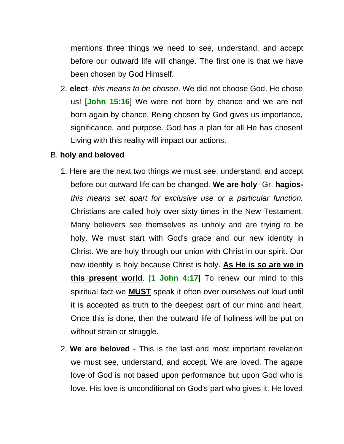mentions three things we need to see, understand, and accept before our outward life will change. The first one is that we have been chosen by God Himself.

2. **elect**- *this means to be chosen*. We did not choose God, He chose us! [**John 15:16**] We were not born by chance and we are not born again by chance. Being chosen by God gives us importance, significance, and purpose. God has a plan for all He has chosen! Living with this reality will impact our actions.

#### B. **holy and beloved**

- 1. Here are the next two things we must see, understand, and accept before our outward life can be changed. **We are holy**- Gr. **hagios***this means set apart for exclusive use or a particular function.*  Christians are called holy over sixty times in the New Testament. Many believers see themselves as unholy and are trying to be holy. We must start with God's grace and our new identity in Christ. We are holy through our union with Christ in our spirit. Our new identity is holy because Christ is holy. **As He is so are we in this present world**. [**1 John 4:17**] To renew our mind to this spiritual fact we **MUST** speak it often over ourselves out loud until it is accepted as truth to the deepest part of our mind and heart. Once this is done, then the outward life of holiness will be put on without strain or struggle.
- 2. **We are beloved** This is the last and most important revelation we must see, understand, and accept. We are loved. The agape love of God is not based upon performance but upon God who is love. His love is unconditional on God's part who gives it. He loved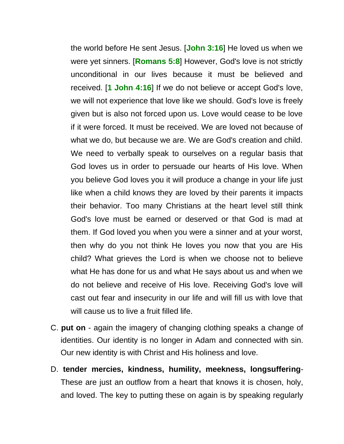the world before He sent Jesus. [**John 3:16**] He loved us when we were yet sinners. [**Romans 5:8**] However, God's love is not strictly unconditional in our lives because it must be believed and received. [**1 John 4:16**] If we do not believe or accept God's love, we will not experience that love like we should. God's love is freely given but is also not forced upon us. Love would cease to be love if it were forced. It must be received. We are loved not because of what we do, but because we are. We are God's creation and child. We need to verbally speak to ourselves on a regular basis that God loves us in order to persuade our hearts of His love. When you believe God loves you it will produce a change in your life just like when a child knows they are loved by their parents it impacts their behavior. Too many Christians at the heart level still think God's love must be earned or deserved or that God is mad at them. If God loved you when you were a sinner and at your worst, then why do you not think He loves you now that you are His child? What grieves the Lord is when we choose not to believe what He has done for us and what He says about us and when we do not believe and receive of His love. Receiving God's love will cast out fear and insecurity in our life and will fill us with love that will cause us to live a fruit filled life.

- C. **put on** again the imagery of changing clothing speaks a change of identities. Our identity is no longer in Adam and connected with sin. Our new identity is with Christ and His holiness and love.
- D. **tender mercies, kindness, humility, meekness, longsuffering**-These are just an outflow from a heart that knows it is chosen, holy, and loved. The key to putting these on again is by speaking regularly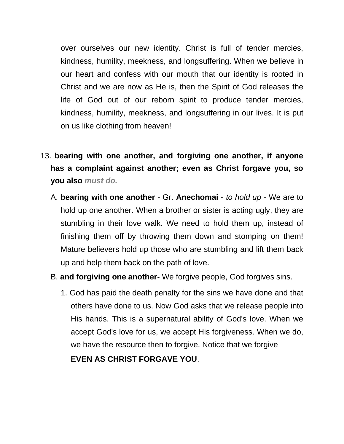over ourselves our new identity. Christ is full of tender mercies, kindness, humility, meekness, and longsuffering. When we believe in our heart and confess with our mouth that our identity is rooted in Christ and we are now as He is, then the Spirit of God releases the life of God out of our reborn spirit to produce tender mercies, kindness, humility, meekness, and longsuffering in our lives. It is put on us like clothing from heaven!

- 13. **bearing with one another, and forgiving one another, if anyone has a complaint against another; even as Christ forgave you, so you also** *must do.*
	- A. **bearing with one another** Gr. **Anechomai** *to hold up* We are to hold up one another. When a brother or sister is acting ugly, they are stumbling in their love walk. We need to hold them up, instead of finishing them off by throwing them down and stomping on them! Mature believers hold up those who are stumbling and lift them back up and help them back on the path of love.
	- B. **and forgiving one another** We forgive people, God forgives sins.
		- 1. God has paid the death penalty for the sins we have done and that others have done to us. Now God asks that we release people into His hands. This is a supernatural ability of God's love. When we accept God's love for us, we accept His forgiveness. When we do, we have the resource then to forgive. Notice that we forgive

**EVEN AS CHRIST FORGAVE YOU**.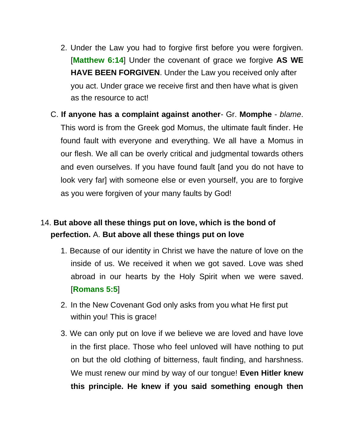- 2. Under the Law you had to forgive first before you were forgiven. [**Matthew 6:14**] Under the covenant of grace we forgive **AS WE HAVE BEEN FORGIVEN**. Under the Law you received only after you act. Under grace we receive first and then have what is given as the resource to act!
- C. **If anyone has a complaint against another** Gr. **Momphe** *blame*. This word is from the Greek god Momus, the ultimate fault finder. He found fault with everyone and everything. We all have a Momus in our flesh. We all can be overly critical and judgmental towards others and even ourselves. If you have found fault [and you do not have to look very far] with someone else or even yourself, you are to forgive as you were forgiven of your many faults by God!

## 14. **But above all these things put on love, which is the bond of perfection.** A. **But above all these things put on love**

- 1. Because of our identity in Christ we have the nature of love on the inside of us. We received it when we got saved. Love was shed abroad in our hearts by the Holy Spirit when we were saved. [**Romans 5:5**]
- 2. In the New Covenant God only asks from you what He first put within you! This is grace!
- 3. We can only put on love if we believe we are loved and have love in the first place. Those who feel unloved will have nothing to put on but the old clothing of bitterness, fault finding, and harshness. We must renew our mind by way of our tongue! **Even Hitler knew this principle. He knew if you said something enough then**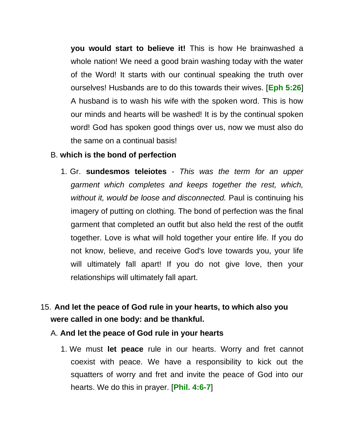**you would start to believe it!** This is how He brainwashed a whole nation! We need a good brain washing today with the water of the Word! It starts with our continual speaking the truth over ourselves! Husbands are to do this towards their wives. [**Eph 5:26**] A husband is to wash his wife with the spoken word. This is how our minds and hearts will be washed! It is by the continual spoken word! God has spoken good things over us, now we must also do the same on a continual basis!

#### B. **which is the bond of perfection**

- 1. Gr. **sundesmos teleiotes** *This was the term for an upper garment which completes and keeps together the rest, which, without it, would be loose and disconnected.* Paul is continuing his imagery of putting on clothing. The bond of perfection was the final garment that completed an outfit but also held the rest of the outfit together. Love is what will hold together your entire life. If you do not know, believe, and receive God's love towards you, your life will ultimately fall apart! If you do not give love, then your relationships will ultimately fall apart.
- 15. **And let the peace of God rule in your hearts, to which also you were called in one body: and be thankful.**
	- A. **And let the peace of God rule in your hearts**
		- 1. We must **let peace** rule in our hearts. Worry and fret cannot coexist with peace. We have a responsibility to kick out the squatters of worry and fret and invite the peace of God into our hearts. We do this in prayer. [**Phil. 4:6-7**]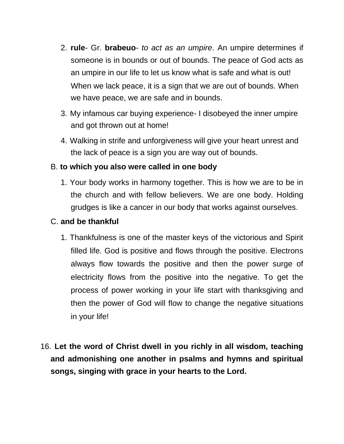- 2. **rule** Gr. **brabeuo** *to act as an umpire*. An umpire determines if someone is in bounds or out of bounds. The peace of God acts as an umpire in our life to let us know what is safe and what is out! When we lack peace, it is a sign that we are out of bounds. When we have peace, we are safe and in bounds.
- 3. My infamous car buying experience- I disobeyed the inner umpire and got thrown out at home!
- 4. Walking in strife and unforgiveness will give your heart unrest and the lack of peace is a sign you are way out of bounds.

#### B. **to which you also were called in one body**

1. Your body works in harmony together. This is how we are to be in the church and with fellow believers. We are one body. Holding grudges is like a cancer in our body that works against ourselves.

#### C. **and be thankful**

- 1. Thankfulness is one of the master keys of the victorious and Spirit filled life. God is positive and flows through the positive. Electrons always flow towards the positive and then the power surge of electricity flows from the positive into the negative. To get the process of power working in your life start with thanksgiving and then the power of God will flow to change the negative situations in your life!
- 16. **Let the word of Christ dwell in you richly in all wisdom, teaching and admonishing one another in psalms and hymns and spiritual songs, singing with grace in your hearts to the Lord.**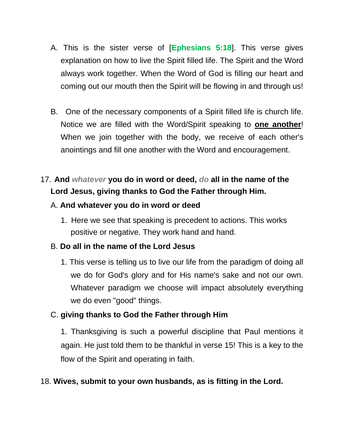- A. This is the sister verse of [**Ephesians 5:18**]. This verse gives explanation on how to live the Spirit filled life. The Spirit and the Word always work together. When the Word of God is filling our heart and coming out our mouth then the Spirit will be flowing in and through us!
- B. One of the necessary components of a Spirit filled life is church life. Notice we are filled with the Word/Spirit speaking to **one another**! When we join together with the body, we receive of each other's anointings and fill one another with the Word and encouragement.

# 17. **And** *whatever* **you do in word or deed,** *do* **all in the name of the Lord Jesus, giving thanks to God the Father through Him.**

### A. **And whatever you do in word or deed**

1. Here we see that speaking is precedent to actions. This works positive or negative. They work hand and hand.

### B. **Do all in the name of the Lord Jesus**

1. This verse is telling us to live our life from the paradigm of doing all we do for God's glory and for His name's sake and not our own. Whatever paradigm we choose will impact absolutely everything we do even "good" things.

### C. **giving thanks to God the Father through Him**

1. Thanksgiving is such a powerful discipline that Paul mentions it again. He just told them to be thankful in verse 15! This is a key to the flow of the Spirit and operating in faith.

### 18. **Wives, submit to your own husbands, as is fitting in the Lord.**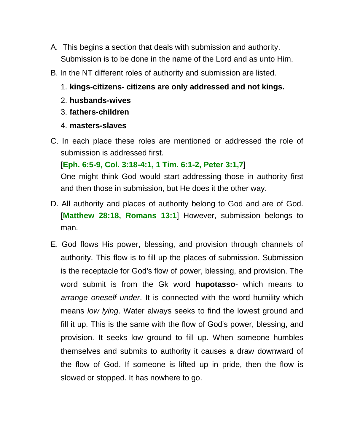- A. This begins a section that deals with submission and authority. Submission is to be done in the name of the Lord and as unto Him.
- B. In the NT different roles of authority and submission are listed.
	- 1. **kings-citizens- citizens are only addressed and not kings.**
	- 2. **husbands-wives**
	- 3. **fathers-children**
	- 4. **masters-slaves**
- C. In each place these roles are mentioned or addressed the role of submission is addressed first.

[**Eph. 6:5-9, Col. 3:18-4:1, 1 Tim. 6:1-2, Peter 3:1,7**]

One might think God would start addressing those in authority first and then those in submission, but He does it the other way.

- D. All authority and places of authority belong to God and are of God. [**Matthew 28:18, Romans 13:1**] However, submission belongs to man.
- E. God flows His power, blessing, and provision through channels of authority. This flow is to fill up the places of submission. Submission is the receptacle for God's flow of power, blessing, and provision. The word submit is from the Gk word **hupotasso**- which means to *arrange oneself under*. It is connected with the word humility which means *low lying*. Water always seeks to find the lowest ground and fill it up. This is the same with the flow of God's power, blessing, and provision. It seeks low ground to fill up. When someone humbles themselves and submits to authority it causes a draw downward of the flow of God. If someone is lifted up in pride, then the flow is slowed or stopped. It has nowhere to go.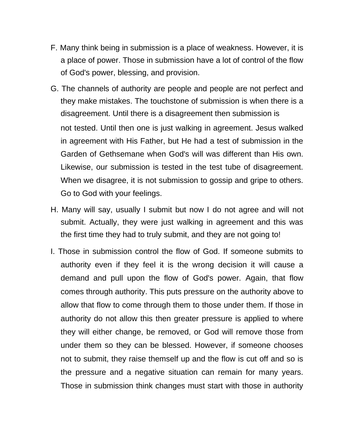- F. Many think being in submission is a place of weakness. However, it is a place of power. Those in submission have a lot of control of the flow of God's power, blessing, and provision.
- G. The channels of authority are people and people are not perfect and they make mistakes. The touchstone of submission is when there is a disagreement. Until there is a disagreement then submission is not tested. Until then one is just walking in agreement. Jesus walked in agreement with His Father, but He had a test of submission in the Garden of Gethsemane when God's will was different than His own. Likewise, our submission is tested in the test tube of disagreement. When we disagree, it is not submission to gossip and gripe to others. Go to God with your feelings.
- H. Many will say, usually I submit but now I do not agree and will not submit. Actually, they were just walking in agreement and this was the first time they had to truly submit, and they are not going to!
- I. Those in submission control the flow of God. If someone submits to authority even if they feel it is the wrong decision it will cause a demand and pull upon the flow of God's power. Again, that flow comes through authority. This puts pressure on the authority above to allow that flow to come through them to those under them. If those in authority do not allow this then greater pressure is applied to where they will either change, be removed, or God will remove those from under them so they can be blessed. However, if someone chooses not to submit, they raise themself up and the flow is cut off and so is the pressure and a negative situation can remain for many years. Those in submission think changes must start with those in authority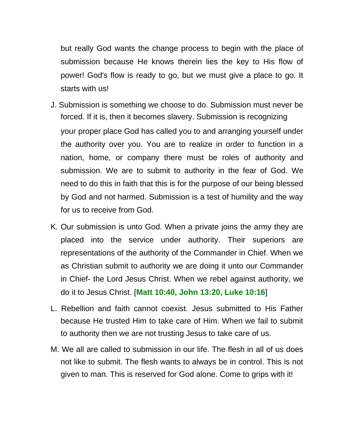but really God wants the change process to begin with the place of submission because He knows therein lies the key to His flow of power! God's flow is ready to go, but we must give a place to go. It starts with us!

- J. Submission is something we choose to do. Submission must never be forced. If it is, then it becomes slavery. Submission is recognizing your proper place God has called you to and arranging yourself under the authority over you. You are to realize in order to function in a nation, home, or company there must be roles of authority and submission. We are to submit to authority in the fear of God. We need to do this in faith that this is for the purpose of our being blessed by God and not harmed. Submission is a test of humility and the way for us to receive from God.
- K. Our submission is unto God. When a private joins the army they are placed into the service under authority. Their superiors are representations of the authority of the Commander in Chief. When we as Christian submit to authority we are doing it unto our Commander in Chief- the Lord Jesus Christ. When we rebel against authority, we do it to Jesus Christ. [**Matt 10:40, John 13:20, Luke 10:16**]
- L. Rebellion and faith cannot coexist. Jesus submitted to His Father because He trusted Him to take care of Him. When we fail to submit to authority then we are not trusting Jesus to take care of us.
- M. We all are called to submission in our life. The flesh in all of us does not like to submit. The flesh wants to always be in control. This is not given to man. This is reserved for God alone. Come to grips with it!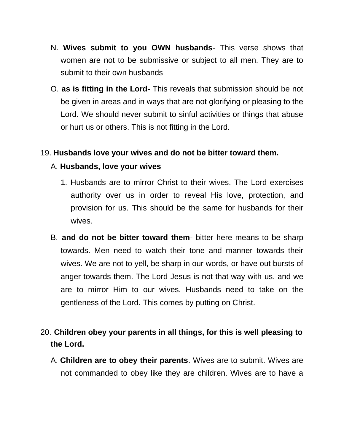- N. **Wives submit to you OWN husbands** This verse shows that women are not to be submissive or subject to all men. They are to submit to their own husbands
- O. **as is fitting in the Lord-** This reveals that submission should be not be given in areas and in ways that are not glorifying or pleasing to the Lord. We should never submit to sinful activities or things that abuse or hurt us or others. This is not fitting in the Lord.

#### 19. **Husbands love your wives and do not be bitter toward them.**

#### A. **Husbands, love your wives**

- 1. Husbands are to mirror Christ to their wives. The Lord exercises authority over us in order to reveal His love, protection, and provision for us. This should be the same for husbands for their wives.
- B. **and do not be bitter toward them** bitter here means to be sharp towards. Men need to watch their tone and manner towards their wives. We are not to yell, be sharp in our words, or have out bursts of anger towards them. The Lord Jesus is not that way with us, and we are to mirror Him to our wives. Husbands need to take on the gentleness of the Lord. This comes by putting on Christ.

## 20. **Children obey your parents in all things, for this is well pleasing to the Lord.**

A. **Children are to obey their parents**. Wives are to submit. Wives are not commanded to obey like they are children. Wives are to have a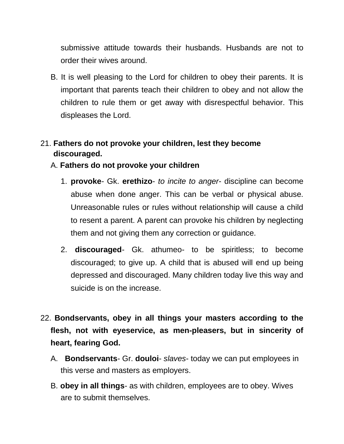submissive attitude towards their husbands. Husbands are not to order their wives around.

B. It is well pleasing to the Lord for children to obey their parents. It is important that parents teach their children to obey and not allow the children to rule them or get away with disrespectful behavior. This displeases the Lord.

## 21. **Fathers do not provoke your children, lest they become discouraged.**

### A. **Fathers do not provoke your children**

- 1. **provoke** Gk. **erethizo** *to incite to anger* discipline can become abuse when done anger. This can be verbal or physical abuse. Unreasonable rules or rules without relationship will cause a child to resent a parent. A parent can provoke his children by neglecting them and not giving them any correction or guidance.
- 2. **discouraged** Gk. athumeo- to be spiritless; to become discouraged; to give up. A child that is abused will end up being depressed and discouraged. Many children today live this way and suicide is on the increase.
- 22. **Bondservants, obey in all things your masters according to the flesh, not with eyeservice, as men-pleasers, but in sincerity of heart, fearing God.**
	- A. **Bondservants** Gr. **douloi** *slaves* today we can put employees in this verse and masters as employers.
	- B. **obey in all things** as with children, employees are to obey. Wives are to submit themselves.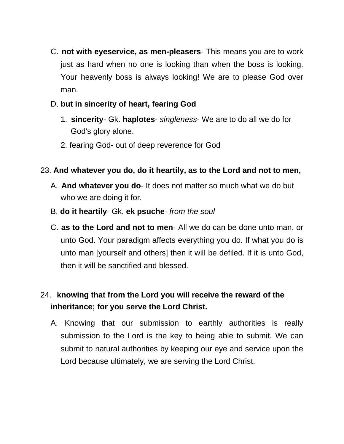- C. **not with eyeservice, as men-pleasers** This means you are to work just as hard when no one is looking than when the boss is looking. Your heavenly boss is always looking! We are to please God over man.
- D. **but in sincerity of heart, fearing God**
	- 1. **sincerity** Gk. **haplotes** *singleness* We are to do all we do for God's glory alone.
	- 2. fearing God- out of deep reverence for God

## 23. **And whatever you do, do it heartily, as to the Lord and not to men,**

- A. **And whatever you do** It does not matter so much what we do but who we are doing it for.
- B. **do it heartily** Gk. **ek psuche** *from the soul*
- C. **as to the Lord and not to men** All we do can be done unto man, or unto God. Your paradigm affects everything you do. If what you do is unto man [yourself and others] then it will be defiled. If it is unto God, then it will be sanctified and blessed.

# 24. **knowing that from the Lord you will receive the reward of the inheritance; for you serve the Lord Christ.**

A. Knowing that our submission to earthly authorities is really submission to the Lord is the key to being able to submit. We can submit to natural authorities by keeping our eye and service upon the Lord because ultimately, we are serving the Lord Christ.